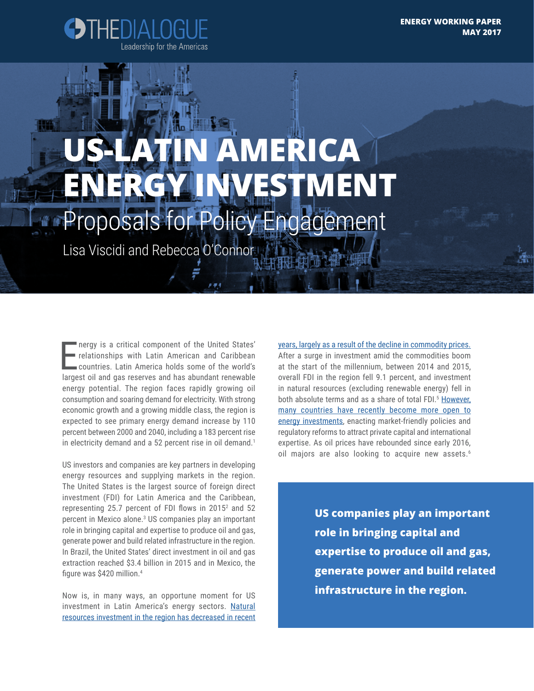

# **MERICA ENERGY INVESTMENT** oposals for Policy Engagement

Lisa Viscidi and Rebecca O'Connor

Inergy is a critical component of the United States'<br>relationships with Latin American and Caribbean<br>countries. Latin America holds some of the world's<br>largest oil and gas reserves and has abundant renewable nergy is a critical component of the United States' relationships with Latin American and Caribbean countries. Latin America holds some of the world's energy potential. The region faces rapidly growing oil consumption and soaring demand for electricity. With strong economic growth and a growing middle class, the region is expected to see primary energy demand increase by 110 percent between 2000 and 2040, including a 183 percent rise in electricity demand and a 52 percent rise in oil demand.<sup>1</sup>

US investors and companies are key partners in developing energy resources and supplying markets in the region. The United States is the largest source of foreign direct investment (FDI) for Latin America and the Caribbean, representing 25.7 percent of FDI flows in 2015 $2$  and 52 percent in Mexico alone.<sup>3</sup> US companies play an important role in bringing capital and expertise to produce oil and gas, generate power and build related infrastructure in the region. In Brazil, the United States' direct investment in oil and gas extraction reached \$3.4 billion in 2015 and in Mexico, the figure was \$420 million.<sup>4</sup>

Now is, in many ways, an opportune moment for US investment in Latin America's energy sectors. [Natural](http://www.ispionline.it/sites/default/files/pubblicazioni/report_america_latina.pdf)  [resources investment in the region has decreased in recent](http://www.ispionline.it/sites/default/files/pubblicazioni/report_america_latina.pdf)  [years, largely as a result of the decline in commodity prices.](http://www.ispionline.it/sites/default/files/pubblicazioni/report_america_latina.pdf)  After a surge in investment amid the commodities boom at the start of the millennium, between 2014 and 2015, overall FDI in the region fell 9.1 percent, and investment in natural resources (excluding renewable energy) fell in both absolute terms and as a share of total FDI.<sup>5</sup> However, [many countries have recently become more open to](https://www.foreignaffairs.com/articles/mexico/2016-03-03/nationalization-and-its-discontents)  [energy investments](https://www.foreignaffairs.com/articles/mexico/2016-03-03/nationalization-and-its-discontents), enacting market-friendly policies and regulatory reforms to attract private capital and international expertise. As oil prices have rebounded since early 2016, oil majors are also looking to acquire new assets.<sup>6</sup>

> **US companies play an important role in bringing capital and expertise to produce oil and gas, generate power and build related infrastructure in the region.**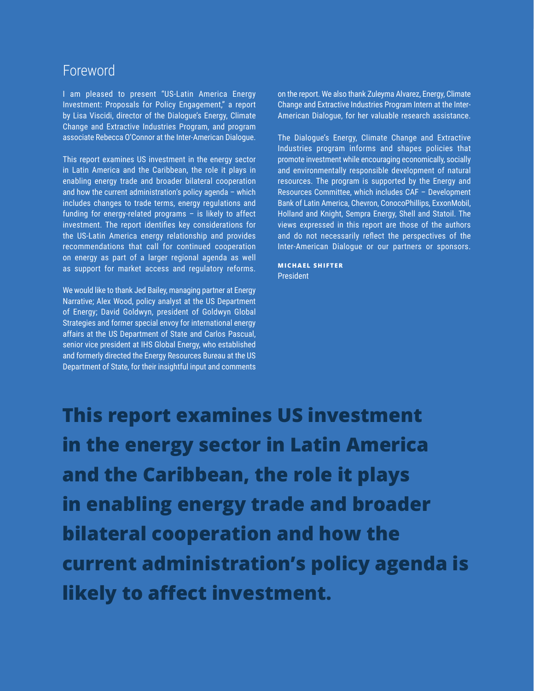# Foreword

I am pleased to present "US-Latin America Energy Investment: Proposals for Policy Engagement," a report by Lisa Viscidi, director of the Dialogue's Energy, Climate Change and Extractive Industries Program, and program associate Rebecca O'Connor at the Inter-American Dialogue.

This report examines US investment in the energy sector in Latin America and the Caribbean, the role it plays in enabling energy trade and broader bilateral cooperation and how the current administration's policy agenda – which includes changes to trade terms, energy regulations and funding for energy-related programs – is likely to affect investment. The report identifies key considerations for the US-Latin America energy relationship and provides recommendations that call for continued cooperation on energy as part of a larger regional agenda as well as support for market access and regulatory reforms.

We would like to thank Jed Bailey, managing partner at Energy Narrative; Alex Wood, policy analyst at the US Department of Energy; David Goldwyn, president of Goldwyn Global Strategies and former special envoy for international energy affairs at the US Department of State and Carlos Pascual, senior vice president at IHS Global Energy, who established and formerly directed the Energy Resources Bureau at the US Department of State, for their insightful input and comments on the report. We also thank Zuleyma Alvarez, Energy, Climate Change and Extractive Industries Program Intern at the Inter-American Dialogue, for her valuable research assistance.

The Dialogue's Energy, Climate Change and Extractive Industries program informs and shapes policies that promote investment while encouraging economically, socially and environmentally responsible development of natural resources. The program is supported by the Energy and Resources Committee, which includes CAF – Development Bank of Latin America, Chevron, ConocoPhillips, ExxonMobil, Holland and Knight, Sempra Energy, Shell and Statoil. The views expressed in this report are those of the authors and do not necessarily reflect the perspectives of the Inter-American Dialogue or our partners or sponsors.

**MICHAEL SHIFTER** President

**This report examines US investment in the energy sector in Latin America and the Caribbean, the role it plays in enabling energy trade and broader bilateral cooperation and how the current administration's policy agenda is likely to affect investment.**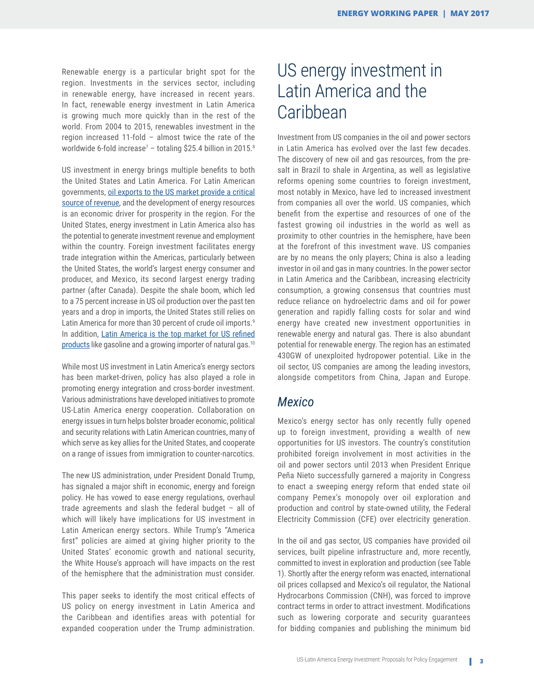Renewable energy is a particular bright spot for the region. Investments in the services sector, including in renewable energy, have increased in recent years. In fact, renewable energy investment in Latin America is growing much more quickly than in the rest of the world. From 2004 to 2015, renewables investment in the region increased 11-fold – almost twice the rate of the worldwide 6-fold increase<sup>7</sup> – totaling \$25.4 billion in 2015.<sup>8</sup>

US investment in energy brings multiple benefits to both the United States and Latin America. For Latin American governments, [oil exports to the US market provide a critical](http://www.thedialogue.org/wp-content/uploads/2015/06/Battle-for-Market-Share-Web-Version-6.1.2015.pdf) [source of revenue,](http://www.thedialogue.org/wp-content/uploads/2015/06/Battle-for-Market-Share-Web-Version-6.1.2015.pdf) and the development of energy resources is an economic driver for prosperity in the region. For the United States, energy investment in Latin America also has the potential to generate investment revenue and employment within the country. Foreign investment facilitates energy trade integration within the Americas, particularly between the United States, the world's largest energy consumer and producer, and Mexico, its second largest energy trading partner (after Canada). Despite the shale boom, which led to a 75 percent increase in US oil production over the past ten years and a drop in imports, the United States still relies on Latin America for more than 30 percent of crude oil imports.<sup>9</sup> In addition, [Latin America is the top market for US refined](http://www.thedialogue.org/wp-content/uploads/2015/05/FillingtheGapweb-LisaViscidi-March2015.pdf) [products](http://www.thedialogue.org/wp-content/uploads/2015/05/FillingtheGapweb-LisaViscidi-March2015.pdf) like gasoline and a growing importer of natural gas.10

While most US investment in Latin America's energy sectors has been market-driven, policy has also played a role in promoting energy integration and cross-border investment. Various administrations have developed initiatives to promote US-Latin America energy cooperation. Collaboration on energy issues in turn helps bolster broader economic, political and security relations with Latin American countries, many of which serve as key allies for the United States, and cooperate on a range of issues from immigration to counter-narcotics.

The new US administration, under President Donald Trump, has signaled a major shift in economic, energy and foreign policy. He has vowed to ease energy regulations, overhaul trade agreements and slash the federal budget – all of which will likely have implications for US investment in Latin American energy sectors. While Trump's "America first" policies are aimed at giving higher priority to the United States' economic growth and national security, the White House's approach will have impacts on the rest of the hemisphere that the administration must consider.

This paper seeks to identify the most critical effects of US policy on energy investment in Latin America and the Caribbean and identifies areas with potential for expanded cooperation under the Trump administration.

# US energy investment in Latin America and the **Caribbean**

Investment from US companies in the oil and power sectors in Latin America has evolved over the last few decades. The discovery of new oil and gas resources, from the presalt in Brazil to shale in Argentina, as well as legislative reforms opening some countries to foreign investment, most notably in Mexico, have led to increased investment from companies all over the world. US companies, which benefit from the expertise and resources of one of the fastest growing oil industries in the world as well as proximity to other countries in the hemisphere, have been at the forefront of this investment wave. US companies are by no means the only players; China is also a leading investor in oil and gas in many countries. In the power sector in Latin America and the Caribbean, increasing electricity consumption, a growing consensus that countries must reduce reliance on hydroelectric dams and oil for power generation and rapidly falling costs for solar and wind energy have created new investment opportunities in renewable energy and natural gas. There is also abundant potential for renewable energy. The region has an estimated 430GW of unexploited hydropower potential. Like in the oil sector, US companies are among the leading investors, alongside competitors from China, Japan and Europe.

#### *Mexico*

Mexico's energy sector has only recently fully opened up to foreign investment, providing a wealth of new opportunities for US investors. The country's constitution prohibited foreign involvement in most activities in the oil and power sectors until 2013 when President Enrique Peña Nieto successfully garnered a majority in Congress to enact a sweeping energy reform that ended state oil company Pemex's monopoly over oil exploration and production and control by state-owned utility, the Federal Electricity Commission (CFE) over electricity generation.

In the oil and gas sector, US companies have provided oil services, built pipeline infrastructure and, more recently, committed to invest in exploration and production (see Table 1). Shortly after the energy reform was enacted, international oil prices collapsed and Mexico's oil regulator, the National Hydrocarbons Commission (CNH), was forced to improve contract terms in order to attract investment. Modifications such as lowering corporate and security guarantees for bidding companies and publishing the minimum bid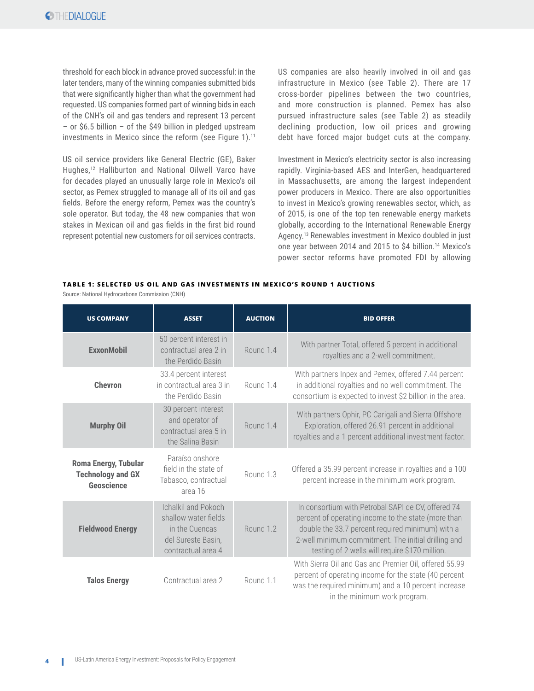threshold for each block in advance proved successful: in the later tenders, many of the winning companies submitted bids that were significantly higher than what the government had requested. US companies formed part of winning bids in each of the CNH's oil and gas tenders and represent 13 percent – or \$6.5 billion – of the \$49 billion in pledged upstream investments in Mexico since the reform (see Figure 1).11

US oil service providers like General Electric (GE), Baker Hughes,12 Halliburton and National Oilwell Varco have for decades played an unusually large role in Mexico's oil sector, as Pemex struggled to manage all of its oil and gas fields. Before the energy reform, Pemex was the country's sole operator. But today, the 48 new companies that won stakes in Mexican oil and gas fields in the first bid round represent potential new customers for oil services contracts.

US companies are also heavily involved in oil and gas infrastructure in Mexico (see Table 2). There are 17 cross-border pipelines between the two countries, and more construction is planned. Pemex has also pursued infrastructure sales (see Table 2) as steadily declining production, low oil prices and growing debt have forced major budget cuts at the company.

Investment in Mexico's electricity sector is also increasing rapidly. Virginia-based AES and InterGen, headquartered in Massachusetts, are among the largest independent power producers in Mexico. There are also opportunities to invest in Mexico's growing renewables sector, which, as of 2015, is one of the top ten renewable energy markets globally, according to the International Renewable Energy Agency.13 Renewables investment in Mexico doubled in just one year between 2014 and 2015 to \$4 billion.14 Mexico's power sector reforms have promoted FDI by allowing

#### **TABLE 1: SELECTED US OIL AND GAS INVESTMENTS IN MEXICO'S ROUND 1 AUCTIONS**

Source: National Hydrocarbons Commission (CNH)

| <b>US COMPANY</b>                                              | <b>ASSET</b>                                                                                                     | <b>AUCTION</b> | <b>BID OFFER</b>                                                                                                                                                                                                                                                       |
|----------------------------------------------------------------|------------------------------------------------------------------------------------------------------------------|----------------|------------------------------------------------------------------------------------------------------------------------------------------------------------------------------------------------------------------------------------------------------------------------|
| <b>ExxonMobil</b>                                              | 50 percent interest in<br>contractual area 2 in<br>the Perdido Basin                                             | Round 1.4      | With partner Total, offered 5 percent in additional<br>royalties and a 2-well commitment.                                                                                                                                                                              |
| <b>Chevron</b>                                                 | 33.4 percent interest<br>in contractual area 3 in<br>the Perdido Basin                                           | Round 1.4      | With partners Inpex and Pemex, offered 7.44 percent<br>in additional royalties and no well commitment. The<br>consortium is expected to invest \$2 billion in the area.                                                                                                |
| <b>Murphy Oil</b>                                              | 30 percent interest<br>and operator of<br>contractual area 5 in<br>the Salina Basin                              | Round 1.4      | With partners Ophir, PC Carigali and Sierra Offshore<br>Exploration, offered 26.91 percent in additional<br>royalties and a 1 percent additional investment factor.                                                                                                    |
| Roma Energy, Tubular<br><b>Technology and GX</b><br>Geoscience | Paraíso onshore<br>field in the state of<br>Tabasco, contractual<br>area 16                                      | Round 1.3      | Offered a 35.99 percent increase in royalties and a 100<br>percent increase in the minimum work program.                                                                                                                                                               |
| <b>Fieldwood Energy</b>                                        | <b>Ichalkil and Pokoch</b><br>shallow water fields<br>in the Cuencas<br>del Sureste Basin,<br>contractual area 4 | Round 1.2      | In consortium with Petrobal SAPI de CV, offered 74<br>percent of operating income to the state (more than<br>double the 33.7 percent required minimum) with a<br>2-well minimum commitment. The initial drilling and<br>testing of 2 wells will require \$170 million. |
| <b>Talos Energy</b>                                            | Contractual area 2                                                                                               | Round 1.1      | With Sierra Oil and Gas and Premier Oil, offered 55.99<br>percent of operating income for the state (40 percent<br>was the required minimum) and a 10 percent increase<br>in the minimum work program.                                                                 |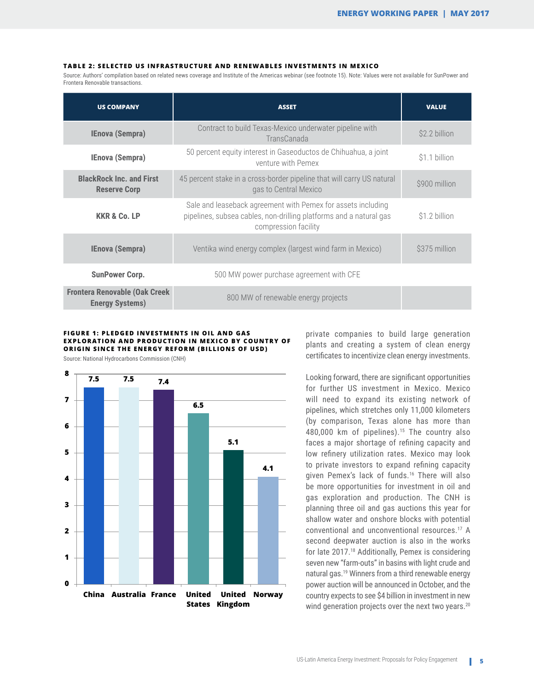#### **TABLE 2: SELECTED US INFRASTRUCTURE AND RENEWABLES INVESTMENTS IN MEXICO**

Source: Authors' compilation based on related news coverage and Institute of the Americas webinar (see footnote 15). Note: Values were not available for SunPower and Frontera Renovable transactions.

| <b>US COMPANY</b>                                               | <b>ASSET</b>                                                                                                                                               | <b>VALUE</b>  |
|-----------------------------------------------------------------|------------------------------------------------------------------------------------------------------------------------------------------------------------|---------------|
| <b>IEnova (Sempra)</b>                                          | Contract to build Texas-Mexico underwater pipeline with<br>TransCanada                                                                                     | \$2.2 billion |
| <b>IEnova (Sempra)</b>                                          | 50 percent equity interest in Gaseoductos de Chihuahua, a joint<br>venture with Pemex                                                                      | \$1.1 billion |
| <b>BlackRock Inc. and First</b><br><b>Reserve Corp</b>          | 45 percent stake in a cross-border pipeline that will carry US natural<br>gas to Central Mexico                                                            | \$900 million |
| <b>KKR &amp; Co. LP</b>                                         | Sale and leaseback agreement with Pemex for assets including<br>pipelines, subsea cables, non-drilling platforms and a natural gas<br>compression facility | \$1.2 billion |
| <b>IEnova (Sempra)</b>                                          | Ventika wind energy complex (largest wind farm in Mexico)                                                                                                  |               |
| <b>SunPower Corp.</b>                                           | 500 MW power purchase agreement with CFE                                                                                                                   |               |
| <b>Frontera Renovable (Oak Creek)</b><br><b>Energy Systems)</b> | 800 MW of renewable energy projects                                                                                                                        |               |

#### **FIGURE 1: PLEDGED INVESTMENTS IN OIL AND GAS EXPLORATION AND PRODUCTION IN MEXICO BY COUNTRY OF ORIGIN SINCE THE ENERGY REFORM (BILLIONS OF USD)**

**7.5 7.5 7.4 6.5 5.1 4.1 0 1 2 3 4 5 6 7 8 China Australia France United States Kingdom United Norway**

Source: National Hydrocarbons Commission (CNH)

private companies to build large generation plants and creating a system of clean energy certificates to incentivize clean energy investments.

Looking forward, there are significant opportunities for further US investment in Mexico. Mexico will need to expand its existing network of pipelines, which stretches only 11,000 kilometers (by comparison, Texas alone has more than 480,000 km of pipelines).<sup>15</sup> The country also faces a major shortage of refining capacity and low refinery utilization rates. Mexico may look to private investors to expand refining capacity given Pemex's lack of funds.16 There will also be more opportunities for investment in oil and gas exploration and production. The CNH is planning three oil and gas auctions this year for shallow water and onshore blocks with potential conventional and unconventional resources.17 A second deepwater auction is also in the works for late 2017.18 Additionally, Pemex is considering seven new "farm-outs" in basins with light crude and natural gas.19 Winners from a third renewable energy power auction will be announced in October, and the country expects to see \$4 billion in investment in new wind generation projects over the next two years. $20$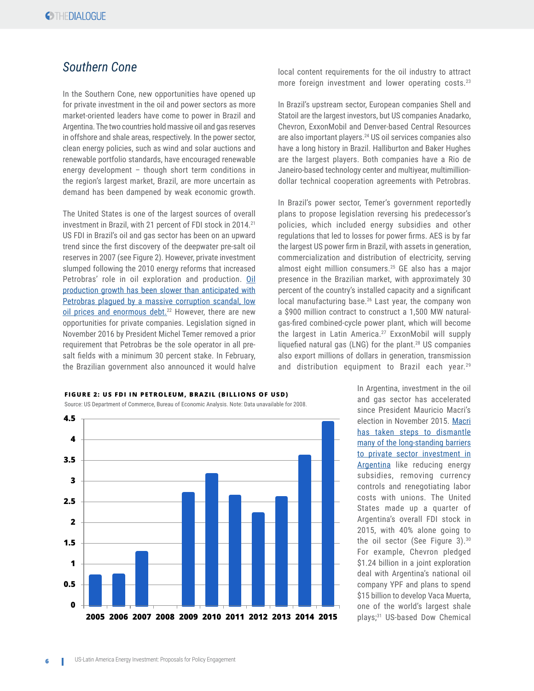#### *Southern Cone*

In the Southern Cone, new opportunities have opened up for private investment in the oil and power sectors as more market-oriented leaders have come to power in Brazil and Argentina. The two countries hold massive oil and gas reserves in offshore and shale areas, respectively. In the power sector, clean energy policies, such as wind and solar auctions and renewable portfolio standards, have encouraged renewable energy development – though short term conditions in the region's largest market, Brazil, are more uncertain as demand has been dampened by weak economic growth.

The United States is one of the largest sources of overall investment in Brazil, with 21 percent of FDI stock in 2014.<sup>21</sup> US FDI in Brazil's oil and gas sector has been on an upward trend since the first discovery of the deepwater pre-salt oil reserves in 2007 (see Figure 2). However, private investment slumped following the 2010 energy reforms that increased Petrobras' role in oil exploration and production. [Oil](http://www.thedialogue.org/blogs/2016/05/beyond-the-political-crisis-the-future-of-brazils-energy-sector/) [production growth has been slower than anticipated with](http://www.thedialogue.org/blogs/2016/05/beyond-the-political-crisis-the-future-of-brazils-energy-sector/)  Petrobras plaqued by a massive corruption scandal, low [oil prices and enormous debt.](http://www.thedialogue.org/blogs/2016/05/beyond-the-political-crisis-the-future-of-brazils-energy-sector/)<sup>22</sup> However, there are new opportunities for private companies. Legislation signed in November 2016 by President Michel Temer removed a prior requirement that Petrobras be the sole operator in all presalt fields with a minimum 30 percent stake. In February, the Brazilian government also announced it would halve

#### **FIGURE 2: US FDI IN PETROLEUM, BRAZIL (BILLIONS OF USD)**

Source: US Department of Commerce, Bureau of Economic Analysis. Note: Data unavailable for 2008.



local content requirements for the oil industry to attract more foreign investment and lower operating costs.<sup>23</sup>

In Brazil's upstream sector, European companies Shell and Statoil are the largest investors, but US companies Anadarko, Chevron, ExxonMobil and Denver-based Central Resources are also important players.24 US oil services companies also have a long history in Brazil. Halliburton and Baker Hughes are the largest players. Both companies have a Rio de Janeiro-based technology center and multiyear, multimilliondollar technical cooperation agreements with Petrobras.

In Brazil's power sector, Temer's government reportedly plans to propose legislation reversing his predecessor's policies, which included energy subsidies and other regulations that led to losses for power firms. AES is by far the largest US power firm in Brazil, with assets in generation, commercialization and distribution of electricity, serving almost eight million consumers.25 GE also has a major presence in the Brazilian market, with approximately 30 percent of the country's installed capacity and a significant local manufacturing base.<sup>26</sup> Last year, the company won a \$900 million contract to construct a 1,500 MW naturalgas-fired combined-cycle power plant, which will become the largest in Latin America.27 ExxonMobil will supply liquefied natural gas (LNG) for the plant.28 US companies also export millions of dollars in generation, transmission and distribution equipment to Brazil each year.<sup>29</sup>

> In Argentina, investment in the oil and gas sector has accelerated since President Mauricio Macri's election in November 2015. [Macri](http://www.thedialogue.org/resources/energy-in-argentina-a-new-investment-climate/) [has taken steps to dismantle](http://www.thedialogue.org/resources/energy-in-argentina-a-new-investment-climate/)  [many of the long-standing barriers](http://www.thedialogue.org/resources/energy-in-argentina-a-new-investment-climate/) [to private sector investment in](http://www.thedialogue.org/resources/energy-in-argentina-a-new-investment-climate/)  [Argentina](http://www.thedialogue.org/resources/energy-in-argentina-a-new-investment-climate/) like reducing energy subsidies, removing currency controls and renegotiating labor costs with unions. The United States made up a quarter of Argentina's overall FDI stock in 2015, with 40% alone going to the oil sector (See Figure 3).30 For example, Chevron pledged \$1.24 billion in a joint exploration deal with Argentina's national oil company YPF and plans to spend \$15 billion to develop Vaca Muerta, one of the world's largest shale plays;31 US-based Dow Chemical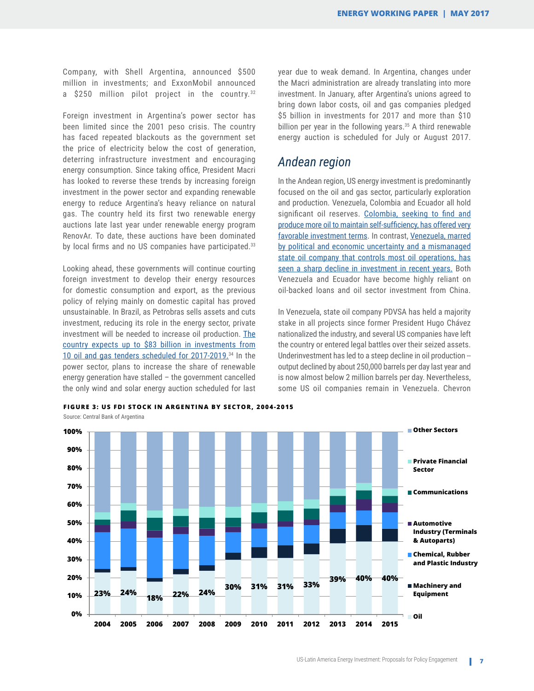Company, with Shell Argentina, announced \$500 million in investments; and ExxonMobil announced a \$250 million pilot project in the country.<sup>32</sup>

Foreign investment in Argentina's power sector has been limited since the 2001 peso crisis. The country has faced repeated blackouts as the government set the price of electricity below the cost of generation, deterring infrastructure investment and encouraging energy consumption. Since taking office, President Macri has looked to reverse these trends by increasing foreign investment in the power sector and expanding renewable energy to reduce Argentina's heavy reliance on natural gas. The country held its first two renewable energy auctions late last year under renewable energy program RenovAr. To date, these auctions have been dominated by local firms and no US companies have participated.<sup>33</sup>

Looking ahead, these governments will continue courting foreign investment to develop their energy resources for domestic consumption and export, as the previous policy of relying mainly on domestic capital has proved unsustainable. In Brazil, as Petrobras sells assets and cuts investment, reducing its role in the energy sector, private investment will be needed to increase oil production. [The](http://www.thedialogue.org/resources/energy-policy-and-the-outlook-for-oil-and-gas-in-brazil/) [country expects up to \\$83 billion in investments from](http://www.thedialogue.org/resources/energy-policy-and-the-outlook-for-oil-and-gas-in-brazil/) [10 oil and gas tenders scheduled for 2017-2019.](http://www.thedialogue.org/resources/energy-policy-and-the-outlook-for-oil-and-gas-in-brazil/)34 In the power sector, plans to increase the share of renewable energy generation have stalled – the government cancelled the only wind and solar energy auction scheduled for last

year due to weak demand. In Argentina, changes under the Macri administration are already translating into more investment. In January, after Argentina's unions agreed to bring down labor costs, oil and gas companies pledged \$5 billion in investments for 2017 and more than \$10 billion per year in the following years.<sup>35</sup> A third renewable energy auction is scheduled for July or August 2017.

#### *Andean region*

In the Andean region, US energy investment is predominantly focused on the oil and gas sector, particularly exploration and production. Venezuela, Colombia and Ecuador all hold significant oil reserves. [Colombia, seeking to find and](http://www.thedialogue.org/resources/the-future-of-oil-gas-exploration-production-in-colombia/) [produce more oil to maintain self-sufficiency, has offered very](http://www.thedialogue.org/resources/the-future-of-oil-gas-exploration-production-in-colombia/)  [favorable investment terms](http://www.thedialogue.org/resources/the-future-of-oil-gas-exploration-production-in-colombia/). In contrast, [Venezuela, marred](https://www.foreignaffairs.com/articles/venezuela/venezuela-brink)  [by political and economic uncertainty and a mismanaged](https://www.foreignaffairs.com/articles/venezuela/venezuela-brink)  [state oil company that controls most oil operations, has](https://www.foreignaffairs.com/articles/venezuela/venezuela-brink)  [seen a sharp decline in investment in recent years.](https://www.foreignaffairs.com/articles/venezuela/venezuela-brink) Both Venezuela and Ecuador have become highly reliant on oil-backed loans and oil sector investment from China.

In Venezuela, state oil company PDVSA has held a majority stake in all projects since former President Hugo Chávez nationalized the industry, and several US companies have left the country or entered legal battles over their seized assets. Underinvestment has led to a steep decline in oil production - output declined by about 250,000 barrels per day last year and is now almost below 2 million barrels per day. Nevertheless, some US oil companies remain in Venezuela. Chevron



**FIGURE 3: US FDI STOCK IN ARGENTINA BY SECTOR, 2004-2015**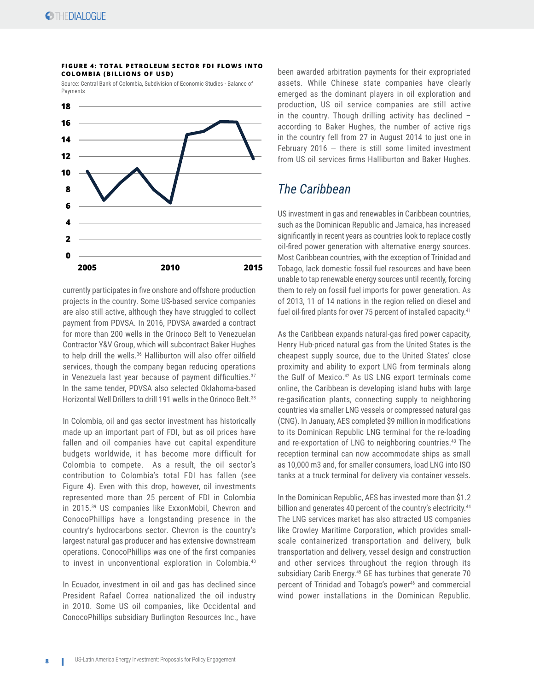#### **FIGURE 4: TOTAL PETROLEUM SECTOR FDI FLOWS INTO COLOMBIA (BILLIONS OF USD)**

Source: Central Bank of Colombia, Subdivision of Economic Studies - Balance of Payments



currently participates in five onshore and offshore production projects in the country. Some US-based service companies are also still active, although they have struggled to collect payment from PDVSA. In 2016, PDVSA awarded a contract for more than 200 wells in the Orinoco Belt to Venezuelan Contractor Y&V Group, which will subcontract Baker Hughes to help drill the wells.<sup>36</sup> Halliburton will also offer oilfield services, though the company began reducing operations in Venezuela last year because of payment difficulties. $37$ In the same tender, PDVSA also selected Oklahoma-based Horizontal Well Drillers to drill 191 wells in the Orinoco Belt.<sup>38</sup>

In Colombia, oil and gas sector investment has historically made up an important part of FDI, but as oil prices have fallen and oil companies have cut capital expenditure budgets worldwide, it has become more difficult for Colombia to compete. As a result, the oil sector's contribution to Colombia's total FDI has fallen (see Figure 4). Even with this drop, however, oil investments represented more than 25 percent of FDI in Colombia in 2015.39 US companies like ExxonMobil, Chevron and ConocoPhillips have a longstanding presence in the country's hydrocarbons sector. Chevron is the country's largest natural gas producer and has extensive downstream operations. ConocoPhillips was one of the first companies to invest in unconventional exploration in Colombia.40

In Ecuador, investment in oil and gas has declined since President Rafael Correa nationalized the oil industry in 2010. Some US oil companies, like Occidental and ConocoPhillips subsidiary Burlington Resources Inc., have

been awarded arbitration payments for their expropriated assets. While Chinese state companies have clearly emerged as the dominant players in oil exploration and production, US oil service companies are still active in the country. Though drilling activity has declined – according to Baker Hughes, the number of active rigs in the country fell from 27 in August 2014 to just one in February 2016  $-$  there is still some limited investment from US oil services firms Halliburton and Baker Hughes.

#### *The Caribbean*

US investment in gas and renewables in Caribbean countries, such as the Dominican Republic and Jamaica, has increased significantly in recent years as countries look to replace costly oil-fired power generation with alternative energy sources. Most Caribbean countries, with the exception of Trinidad and Tobago, lack domestic fossil fuel resources and have been unable to tap renewable energy sources until recently, forcing them to rely on fossil fuel imports for power generation. As of 2013, 11 of 14 nations in the region relied on diesel and fuel oil-fired plants for over 75 percent of installed capacity.<sup>41</sup>

As the Caribbean expands natural-gas fired power capacity, Henry Hub-priced natural gas from the United States is the cheapest supply source, due to the United States' close proximity and ability to export LNG from terminals along the Gulf of Mexico.42 As US LNG export terminals come online, the Caribbean is developing island hubs with large re-gasification plants, connecting supply to neighboring countries via smaller LNG vessels or compressed natural gas (CNG). In January, AES completed \$9 million in modifications to its Dominican Republic LNG terminal for the re-loading and re-exportation of LNG to neighboring countries.<sup>43</sup> The reception terminal can now accommodate ships as small as 10,000 m3 and, for smaller consumers, load LNG into ISO tanks at a truck terminal for delivery via container vessels.

In the Dominican Republic, AES has invested more than \$1.2 billion and generates 40 percent of the country's electricity.<sup>44</sup> The LNG services market has also attracted US companies like Crowley Maritime Corporation, which provides smallscale containerized transportation and delivery, bulk transportation and delivery, vessel design and construction and other services throughout the region through its subsidiary Carib Energy.<sup>45</sup> GE has turbines that generate 70 percent of Trinidad and Tobago's power<sup>46</sup> and commercial wind power installations in the Dominican Republic.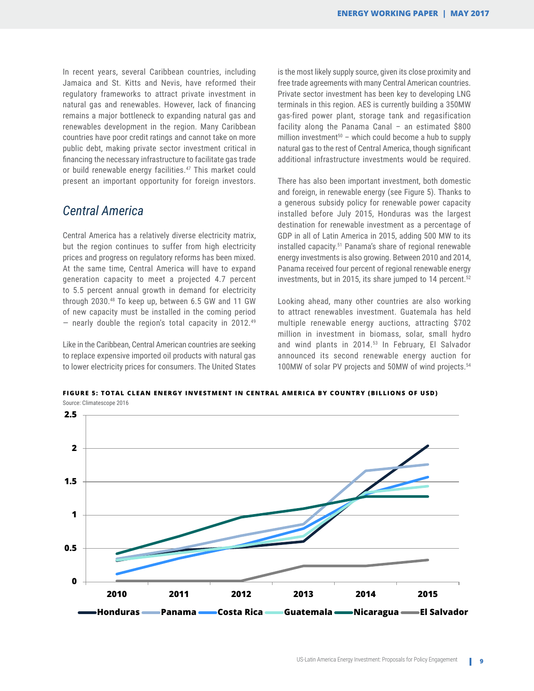In recent years, several Caribbean countries, including Jamaica and St. Kitts and Nevis, have reformed their regulatory frameworks to attract private investment in natural gas and renewables. However, lack of financing remains a major bottleneck to expanding natural gas and renewables development in the region. Many Caribbean countries have poor credit ratings and cannot take on more public debt, making private sector investment critical in financing the necessary infrastructure to facilitate gas trade or build renewable energy facilities.<sup>47</sup> This market could present an important opportunity for foreign investors.

#### *Central America*

Central America has a relatively diverse electricity matrix, but the region continues to suffer from high electricity prices and progress on regulatory reforms has been mixed. At the same time, Central America will have to expand generation capacity to meet a projected 4.7 percent to 5.5 percent annual growth in demand for electricity through 2030.48 To keep up, between 6.5 GW and 11 GW of new capacity must be installed in the coming period  $-$  nearly double the region's total capacity in 2012.<sup>49</sup>

Like in the Caribbean, Central American countries are seeking to replace expensive imported oil products with natural gas to lower electricity prices for consumers. The United States is the most likely supply source, given its close proximity and free trade agreements with many Central American countries. Private sector investment has been key to developing LNG terminals in this region. AES is currently building a 350MW gas-fired power plant, storage tank and regasification facility along the Panama Canal – an estimated \$800 million investment<sup>50</sup> – which could become a hub to supply natural gas to the rest of Central America, though significant additional infrastructure investments would be required.

There has also been important investment, both domestic and foreign, in renewable energy (see Figure 5). Thanks to a generous subsidy policy for renewable power capacity installed before July 2015, Honduras was the largest destination for renewable investment as a percentage of GDP in all of Latin America in 2015, adding 500 MW to its installed capacity.51 Panama's share of regional renewable energy investments is also growing. Between 2010 and 2014, Panama received four percent of regional renewable energy investments, but in 2015, its share jumped to 14 percent. $52$ 

Looking ahead, many other countries are also working to attract renewables investment. Guatemala has held multiple renewable energy auctions, attracting \$702 million in investment in biomass, solar, small hydro and wind plants in 2014.<sup>53</sup> In February, El Salvador announced its second renewable energy auction for 100MW of solar PV projects and 50MW of wind projects.54

**FIGURE 5: TOTAL CLEAN ENERGY INVESTMENT IN CENTRAL AMERICA BY COUNTRY (BILLIONS OF USD)**

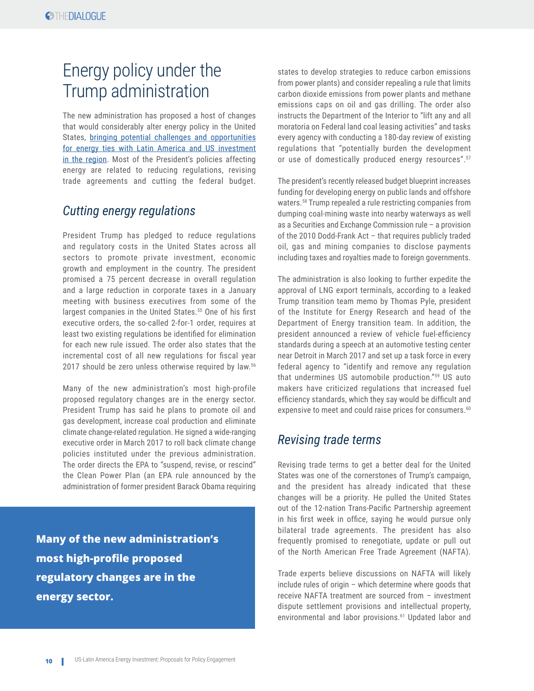# Energy policy under the Trump administration

The new administration has proposed a host of changes that would considerably alter energy policy in the United States, [bringing potential challenges and opportunities](https://www.foreignaffairs.com/articles/central-america-caribbean/2017-02-24/trump-and-latin-american-energy) [for energy ties with Latin America and US investment](https://www.foreignaffairs.com/articles/central-america-caribbean/2017-02-24/trump-and-latin-american-energy) [in the region.](https://www.foreignaffairs.com/articles/central-america-caribbean/2017-02-24/trump-and-latin-american-energy) Most of the President's policies affecting energy are related to reducing regulations, revising trade agreements and cutting the federal budget.

#### *Cutting energy regulations*

President Trump has pledged to reduce regulations and regulatory costs in the United States across all sectors to promote private investment, economic growth and employment in the country. The president promised a 75 percent decrease in overall regulation and a large reduction in corporate taxes in a January meeting with business executives from some of the largest companies in the United States.<sup>55</sup> One of his first executive orders, the so-called 2-for-1 order, requires at least two existing regulations be identified for elimination for each new rule issued. The order also states that the incremental cost of all new regulations for fiscal year 2017 should be zero unless otherwise required by law.<sup>56</sup>

Many of the new administration's most high-profile proposed regulatory changes are in the energy sector. President Trump has said he plans to promote oil and gas development, increase coal production and eliminate climate change-related regulation. He signed a wide-ranging executive order in March 2017 to roll back climate change policies instituted under the previous administration. The order directs the EPA to "suspend, revise, or rescind" the Clean Power Plan (an EPA rule announced by the administration of former president Barack Obama requiring

**Many of the new administration's most high-profile proposed regulatory changes are in the energy sector.**

states to develop strategies to reduce carbon emissions from power plants) and consider repealing a rule that limits carbon dioxide emissions from power plants and methane emissions caps on oil and gas drilling. The order also instructs the Department of the Interior to "lift any and all moratoria on Federal land coal leasing activities" and tasks every agency with conducting a 180-day review of existing regulations that "potentially burden the development or use of domestically produced energy resources".<sup>57</sup>

The president's recently released budget blueprint increases funding for developing energy on public lands and offshore waters.58 Trump repealed a rule restricting companies from dumping coal-mining waste into nearby waterways as well as a Securities and Exchange Commission rule – a provision of the 2010 Dodd-Frank Act – that requires publicly traded oil, gas and mining companies to disclose payments including taxes and royalties made to foreign governments.

The administration is also looking to further expedite the approval of LNG export terminals, according to a leaked Trump transition team memo by Thomas Pyle, president of the Institute for Energy Research and head of the Department of Energy transition team. In addition, the president announced a review of vehicle fuel-efficiency standards during a speech at an automotive testing center near Detroit in March 2017 and set up a task force in every federal agency to "identify and remove any regulation that undermines US automobile production."59 US auto makers have criticized regulations that increased fuel efficiency standards, which they say would be difficult and expensive to meet and could raise prices for consumers.<sup>60</sup>

#### *Revising trade terms*

Revising trade terms to get a better deal for the United States was one of the cornerstones of Trump's campaign, and the president has already indicated that these changes will be a priority. He pulled the United States out of the 12-nation Trans-Pacific Partnership agreement in his first week in office, saying he would pursue only bilateral trade agreements. The president has also frequently promised to renegotiate, update or pull out of the North American Free Trade Agreement (NAFTA).

Trade experts believe discussions on NAFTA will likely include rules of origin – which determine where goods that receive NAFTA treatment are sourced from – investment dispute settlement provisions and intellectual property, environmental and labor provisions.<sup>61</sup> Updated labor and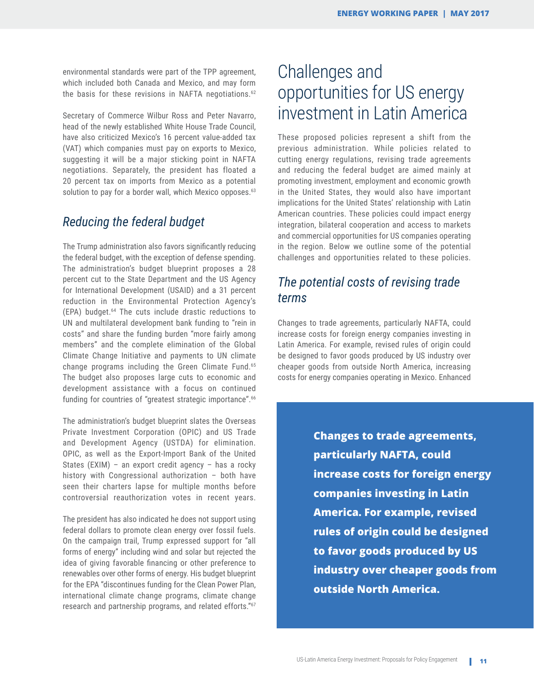environmental standards were part of the TPP agreement, which included both Canada and Mexico, and may form the basis for these revisions in NAFTA negotiations.<sup>62</sup>

Secretary of Commerce Wilbur Ross and Peter Navarro, head of the newly established White House Trade Council, have also criticized Mexico's 16 percent value-added tax (VAT) which companies must pay on exports to Mexico, suggesting it will be a major sticking point in NAFTA negotiations. Separately, the president has floated a 20 percent tax on imports from Mexico as a potential solution to pay for a border wall, which Mexico opposes.<sup>63</sup>

#### *Reducing the federal budget*

The Trump administration also favors significantly reducing the federal budget, with the exception of defense spending. The administration's budget blueprint proposes a 28 percent cut to the State Department and the US Agency for International Development (USAID) and a 31 percent reduction in the Environmental Protection Agency's (EPA) budget.64 The cuts include drastic reductions to UN and multilateral development bank funding to "rein in costs" and share the funding burden "more fairly among members" and the complete elimination of the Global Climate Change Initiative and payments to UN climate change programs including the Green Climate Fund.65 The budget also proposes large cuts to economic and development assistance with a focus on continued funding for countries of "greatest strategic importance".<sup>66</sup>

The administration's budget blueprint slates the Overseas Private Investment Corporation (OPIC) and US Trade and Development Agency (USTDA) for elimination. OPIC, as well as the Export-Import Bank of the United States (EXIM) – an export credit agency – has a rocky history with Congressional authorization – both have seen their charters lapse for multiple months before controversial reauthorization votes in recent years.

The president has also indicated he does not support using federal dollars to promote clean energy over fossil fuels. On the campaign trail, Trump expressed support for "all forms of energy" including wind and solar but rejected the idea of giving favorable financing or other preference to renewables over other forms of energy. His budget blueprint for the EPA "discontinues funding for the Clean Power Plan, international climate change programs, climate change research and partnership programs, and related efforts."<sup>67</sup>

# Challenges and opportunities for US energy investment in Latin America

These proposed policies represent a shift from the previous administration. While policies related to cutting energy regulations, revising trade agreements and reducing the federal budget are aimed mainly at promoting investment, employment and economic growth in the United States, they would also have important implications for the United States' relationship with Latin American countries. These policies could impact energy integration, bilateral cooperation and access to markets and commercial opportunities for US companies operating in the region. Below we outline some of the potential challenges and opportunities related to these policies.

## *The potential costs of revising trade terms*

Changes to trade agreements, particularly NAFTA, could increase costs for foreign energy companies investing in Latin America. For example, revised rules of origin could be designed to favor goods produced by US industry over cheaper goods from outside North America, increasing costs for energy companies operating in Mexico. Enhanced

> **Changes to trade agreements, particularly NAFTA, could increase costs for foreign energy companies investing in Latin America. For example, revised rules of origin could be designed to favor goods produced by US industry over cheaper goods from outside North America.**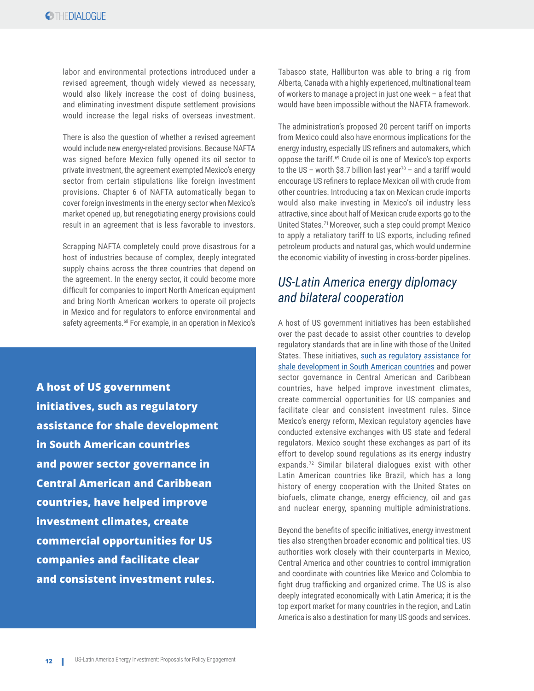labor and environmental protections introduced under a revised agreement, though widely viewed as necessary, would also likely increase the cost of doing business, and eliminating investment dispute settlement provisions would increase the legal risks of overseas investment.

There is also the question of whether a revised agreement would include new energy-related provisions. Because NAFTA was signed before Mexico fully opened its oil sector to private investment, the agreement exempted Mexico's energy sector from certain stipulations like foreign investment provisions. Chapter 6 of NAFTA automatically began to cover foreign investments in the energy sector when Mexico's market opened up, but renegotiating energy provisions could result in an agreement that is less favorable to investors.

Scrapping NAFTA completely could prove disastrous for a host of industries because of complex, deeply integrated supply chains across the three countries that depend on the agreement. In the energy sector, it could become more difficult for companies to import North American equipment and bring North American workers to operate oil projects in Mexico and for regulators to enforce environmental and safety agreements.<sup>68</sup> For example, in an operation in Mexico's

**A host of US government initiatives, such as regulatory assistance for shale development in South American countries and power sector governance in Central American and Caribbean countries, have helped improve investment climates, create commercial opportunities for US companies and facilitate clear and consistent investment rules.**

Tabasco state, Halliburton was able to bring a rig from Alberta, Canada with a highly experienced, multinational team of workers to manage a project in just one week – a feat that would have been impossible without the NAFTA framework.

The administration's proposed 20 percent tariff on imports from Mexico could also have enormous implications for the energy industry, especially US refiners and automakers, which oppose the tariff.69 Crude oil is one of Mexico's top exports to the US – worth \$8.7 billion last year<sup>70</sup> – and a tariff would encourage US refiners to replace Mexican oil with crude from other countries. Introducing a tax on Mexican crude imports would also make investing in Mexico's oil industry less attractive, since about half of Mexican crude exports go to the United States.71 Moreover, such a step could prompt Mexico to apply a retaliatory tariff to US exports, including refined petroleum products and natural gas, which would undermine the economic viability of investing in cross-border pipelines.

## *US-Latin America energy diplomacy and bilateral cooperation*

A host of US government initiatives has been established over the past decade to assist other countries to develop regulatory standards that are in line with those of the United States. These initiatives, such as regulatory assistance for [shale development in South American countries](http://www.thedialogue.org/wp-content/uploads/2016/03/Shale-Development-and-the-Environment-Policy-Lessons-for-Latin-America-LOW-RES-2.pdf) and power sector governance in Central American and Caribbean countries, have helped improve investment climates, create commercial opportunities for US companies and facilitate clear and consistent investment rules. Since Mexico's energy reform, Mexican regulatory agencies have conducted extensive exchanges with US state and federal regulators. Mexico sought these exchanges as part of its effort to develop sound regulations as its energy industry expands.72 Similar bilateral dialogues exist with other Latin American countries like Brazil, which has a long history of energy cooperation with the United States on biofuels, climate change, energy efficiency, oil and gas and nuclear energy, spanning multiple administrations.

Beyond the benefits of specific initiatives, energy investment ties also strengthen broader economic and political ties. US authorities work closely with their counterparts in Mexico, Central America and other countries to control immigration and coordinate with countries like Mexico and Colombia to fight drug trafficking and organized crime. The US is also deeply integrated economically with Latin America; it is the top export market for many countries in the region, and Latin America is also a destination for many US goods and services.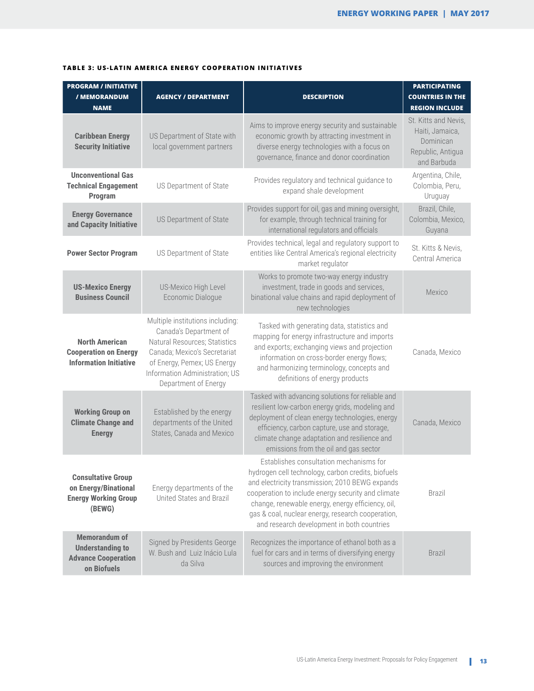| <b>PROGRAM / INITIATIVE</b><br>/ MEMORANDUM<br><b>NAME</b>                                   | <b>AGENCY / DEPARTMENT</b>                                                                                                                                                                                           | <b>DESCRIPTION</b>                                                                                                                                                                                                                                                                                                                                             | <b>PARTICIPATING</b><br><b>COUNTRIES IN THE</b><br><b>REGION INCLUDE</b>                 |
|----------------------------------------------------------------------------------------------|----------------------------------------------------------------------------------------------------------------------------------------------------------------------------------------------------------------------|----------------------------------------------------------------------------------------------------------------------------------------------------------------------------------------------------------------------------------------------------------------------------------------------------------------------------------------------------------------|------------------------------------------------------------------------------------------|
| <b>Caribbean Energy</b><br><b>Security Initiative</b>                                        | US Department of State with<br>local government partners                                                                                                                                                             | Aims to improve energy security and sustainable<br>economic growth by attracting investment in<br>diverse energy technologies with a focus on<br>governance, finance and donor coordination                                                                                                                                                                    | St. Kitts and Nevis,<br>Haiti, Jamaica,<br>Dominican<br>Republic, Antigua<br>and Barbuda |
| <b>Unconventional Gas</b><br><b>Technical Engagement</b><br>Program                          | US Department of State                                                                                                                                                                                               | Provides regulatory and technical guidance to<br>expand shale development                                                                                                                                                                                                                                                                                      | Argentina, Chile,<br>Colombia, Peru,<br>Uruguay                                          |
| <b>Energy Governance</b><br>and Capacity Initiative                                          | US Department of State                                                                                                                                                                                               | Provides support for oil, gas and mining oversight,<br>for example, through technical training for<br>international regulators and officials                                                                                                                                                                                                                   | Brazil, Chile,<br>Colombia, Mexico,<br>Guyana                                            |
| <b>Power Sector Program</b>                                                                  | US Department of State                                                                                                                                                                                               | Provides technical, legal and regulatory support to<br>entities like Central America's regional electricity<br>market regulator                                                                                                                                                                                                                                | St. Kitts & Nevis,<br>Central America                                                    |
| <b>US-Mexico Energy</b><br><b>Business Council</b>                                           | <b>US-Mexico High Level</b><br>Economic Dialogue                                                                                                                                                                     | Works to promote two-way energy industry<br>investment, trade in goods and services,<br>binational value chains and rapid deployment of<br>new technologies                                                                                                                                                                                                    | Mexico                                                                                   |
| <b>North American</b><br><b>Cooperation on Energy</b><br><b>Information Initiative</b>       | Multiple institutions including:<br>Canada's Department of<br>Natural Resources; Statistics<br>Canada; Mexico's Secretariat<br>of Energy, Pemex; US Energy<br>Information Administration; US<br>Department of Energy | Tasked with generating data, statistics and<br>mapping for energy infrastructure and imports<br>and exports; exchanging views and projection<br>information on cross-border energy flows;<br>and harmonizing terminology, concepts and<br>definitions of energy products                                                                                       | Canada, Mexico                                                                           |
| <b>Working Group on</b><br><b>Climate Change and</b><br><b>Energy</b>                        | Established by the energy<br>departments of the United<br>States, Canada and Mexico                                                                                                                                  | Tasked with advancing solutions for reliable and<br>resilient low-carbon energy grids, modeling and<br>deployment of clean energy technologies, energy<br>efficiency, carbon capture, use and storage,<br>climate change adaptation and resilience and<br>emissions from the oil and gas sector                                                                | Canada, Mexico                                                                           |
| <b>Consultative Group</b><br>on Energy/Binational<br><b>Energy Working Group</b><br>(BEWG)   | Energy departments of the<br>United States and Brazil                                                                                                                                                                | Establishes consultation mechanisms for<br>hydrogen cell technology, carbon credits, biofuels<br>and electricity transmission; 2010 BEWG expands<br>cooperation to include energy security and climate<br>change, renewable energy, energy efficiency, oil,<br>gas & coal, nuclear energy, research cooperation,<br>and research development in both countries | Brazil                                                                                   |
| <b>Memorandum of</b><br><b>Understanding to</b><br><b>Advance Cooperation</b><br>on Biofuels | Signed by Presidents George<br>W. Bush and Luiz Inácio Lula<br>da Silva                                                                                                                                              | Recognizes the importance of ethanol both as a<br>fuel for cars and in terms of diversifying energy<br>sources and improving the environment                                                                                                                                                                                                                   | <b>Brazil</b>                                                                            |

#### **TABLE 3: US-LATIN AMERICA ENERGY COOPERATION INITIATIVES**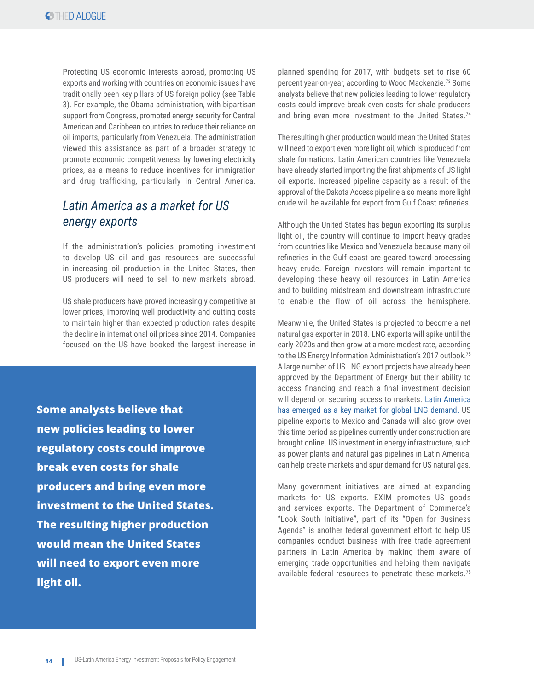Protecting US economic interests abroad, promoting US exports and working with countries on economic issues have traditionally been key pillars of US foreign policy (see Table 3). For example, the Obama administration, with bipartisan support from Congress, promoted energy security for Central American and Caribbean countries to reduce their reliance on oil imports, particularly from Venezuela. The administration viewed this assistance as part of a broader strategy to promote economic competitiveness by lowering electricity prices, as a means to reduce incentives for immigration and drug trafficking, particularly in Central America.

## *Latin America as a market for US energy exports*

If the administration's policies promoting investment to develop US oil and gas resources are successful in increasing oil production in the United States, then US producers will need to sell to new markets abroad.

US shale producers have proved increasingly competitive at lower prices, improving well productivity and cutting costs to maintain higher than expected production rates despite the decline in international oil prices since 2014. Companies focused on the US have booked the largest increase in

**Some analysts believe that new policies leading to lower regulatory costs could improve break even costs for shale producers and bring even more investment to the United States. The resulting higher production would mean the United States will need to export even more light oil.** 

planned spending for 2017, with budgets set to rise 60 percent year-on-year, according to Wood Mackenzie.73 Some analysts believe that new policies leading to lower regulatory costs could improve break even costs for shale producers and bring even more investment to the United States.<sup>74</sup>

The resulting higher production would mean the United States will need to export even more light oil, which is produced from shale formations. Latin American countries like Venezuela have already started importing the first shipments of US light oil exports. Increased pipeline capacity as a result of the approval of the Dakota Access pipeline also means more light crude will be available for export from Gulf Coast refineries.

Although the United States has begun exporting its surplus light oil, the country will continue to import heavy grades from countries like Mexico and Venezuela because many oil refineries in the Gulf coast are geared toward processing heavy crude. Foreign investors will remain important to developing these heavy oil resources in Latin America and to building midstream and downstream infrastructure to enable the flow of oil across the hemisphere.

Meanwhile, the United States is projected to become a net natural gas exporter in 2018. LNG exports will spike until the early 2020s and then grow at a more modest rate, according to the US Energy Information Administration's 2017 outlook.<sup>75</sup> A large number of US LNG export projects have already been approved by the Department of Energy but their ability to access financing and reach a final investment decision will depend on securing access to markets. Latin America [has emerged as a key market for global LNG demand.](http://www.thedialogue.org/wp-content/uploads/2015/09/Natural-Gas-Market-Outlook.pdf) US pipeline exports to Mexico and Canada will also grow over this time period as pipelines currently under construction are brought online. US investment in energy infrastructure, such as power plants and natural gas pipelines in Latin America, can help create markets and spur demand for US natural gas.

Many government initiatives are aimed at expanding markets for US exports. EXIM promotes US goods and services exports. The Department of Commerce's "Look South Initiative", part of its "Open for Business Agenda" is another federal government effort to help US companies conduct business with free trade agreement partners in Latin America by making them aware of emerging trade opportunities and helping them navigate available federal resources to penetrate these markets.<sup>76</sup>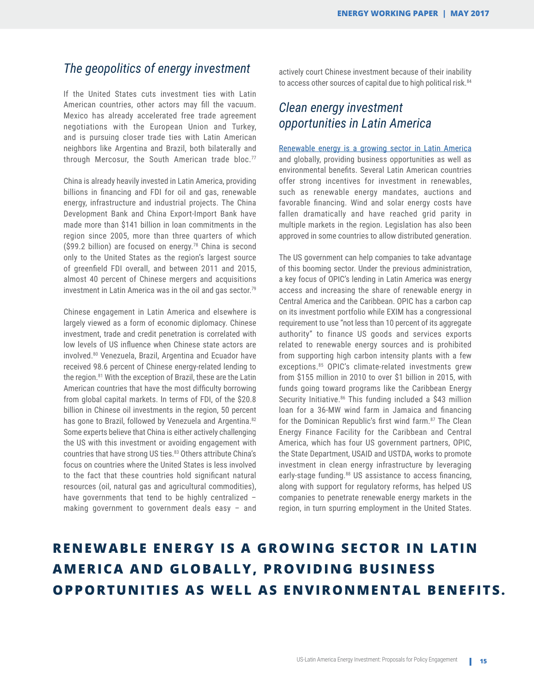#### *The geopolitics of energy investment*

If the United States cuts investment ties with Latin American countries, other actors may fill the vacuum. Mexico has already accelerated free trade agreement negotiations with the European Union and Turkey, and is pursuing closer trade ties with Latin American neighbors like Argentina and Brazil, both bilaterally and through Mercosur, the South American trade bloc.<sup>77</sup>

China is already heavily invested in Latin America, providing billions in financing and FDI for oil and gas, renewable energy, infrastructure and industrial projects. The China Development Bank and China Export-Import Bank have made more than \$141 billion in loan commitments in the region since 2005, more than three quarters of which (\$99.2 billion) are focused on energy.<sup>78</sup> China is second only to the United States as the region's largest source of greenfield FDI overall, and between 2011 and 2015, almost 40 percent of Chinese mergers and acquisitions investment in Latin America was in the oil and gas sector.<sup>79</sup>

Chinese engagement in Latin America and elsewhere is largely viewed as a form of economic diplomacy. Chinese investment, trade and credit penetration is correlated with low levels of US influence when Chinese state actors are involved.80 Venezuela, Brazil, Argentina and Ecuador have received 98.6 percent of Chinese energy-related lending to the region.<sup>81</sup> With the exception of Brazil, these are the Latin American countries that have the most difficulty borrowing from global capital markets. In terms of FDI, of the \$20.8 billion in Chinese oil investments in the region, 50 percent has gone to Brazil, followed by Venezuela and Argentina.<sup>82</sup> Some experts believe that China is either actively challenging the US with this investment or avoiding engagement with countries that have strong US ties.<sup>83</sup> Others attribute China's focus on countries where the United States is less involved to the fact that these countries hold significant natural resources (oil, natural gas and agricultural commodities), have governments that tend to be highly centralized – making government to government deals easy – and

actively court Chinese investment because of their inability to access other sources of capital due to high political risk.<sup>84</sup>

#### *Clean energy investment opportunities in Latin America*

[Renewable energy is a growing sector in Latin America](https://www.nytimes.com/2016/11/24/opinion/how-can-latin-america-move-to-low-carbon-energy.html)  and globally, providing business opportunities as well as environmental benefits. Several Latin American countries offer strong incentives for investment in renewables, such as renewable energy mandates, auctions and favorable financing. Wind and solar energy costs have fallen dramatically and have reached grid parity in multiple markets in the region. Legislation has also been approved in some countries to allow distributed generation.

The US government can help companies to take advantage of this booming sector. Under the previous administration, a key focus of OPIC's lending in Latin America was energy access and increasing the share of renewable energy in Central America and the Caribbean. OPIC has a carbon cap on its investment portfolio while EXIM has a congressional requirement to use "not less than 10 percent of its aggregate authority" to finance US goods and services exports related to renewable energy sources and is prohibited from supporting high carbon intensity plants with a few exceptions.85 OPIC's climate-related investments grew from \$155 million in 2010 to over \$1 billion in 2015, with funds going toward programs like the Caribbean Energy Security Initiative.<sup>86</sup> This funding included a \$43 million loan for a 36-MW wind farm in Jamaica and financing for the Dominican Republic's first wind farm.<sup>87</sup> The Clean Energy Finance Facility for the Caribbean and Central America, which has four US government partners, OPIC, the State Department, USAID and USTDA, works to promote investment in clean energy infrastructure by leveraging early-stage funding.<sup>88</sup> US assistance to access financing, along with support for regulatory reforms, has helped US companies to penetrate renewable energy markets in the region, in turn spurring employment in the United States.

# **RENEWABLE ENERGY IS A GROWING SECTOR IN LATIN AMERICA AND GLOBALLY, PROVIDING BUSINESS OPPORTUNITIES AS WELL AS ENVIRONMENTAL BENEFITS.**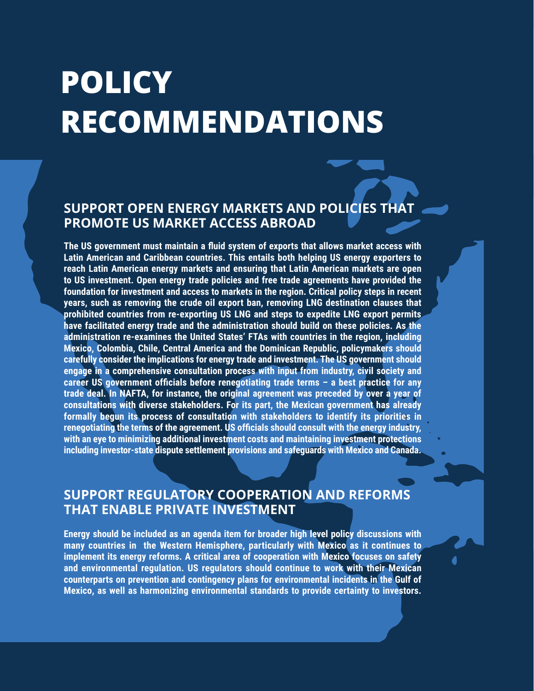# **POLICY RECOMMENDATIONS**

# **SUPPORT OPEN ENERGY MARKETS AND POLICIES THAT PROMOTE US MARKET ACCESS ABROAD**

**The US government must maintain a fluid system of exports that allows market access with Latin American and Caribbean countries. This entails both helping US energy exporters to reach Latin American energy markets and ensuring that Latin American markets are open to US investment. Open energy trade policies and free trade agreements have provided the foundation for investment and access to markets in the region. Critical policy steps in recent years, such as removing the crude oil export ban, removing LNG destination clauses that prohibited countries from re-exporting US LNG and steps to expedite LNG export permits have facilitated energy trade and the administration should build on these policies. As the administration re-examines the United States' FTAs with countries in the region, including Mexico, Colombia, Chile, Central America and the Dominican Republic, policymakers should carefully consider the implications for energy trade and investment. The US government should engage in a comprehensive consultation process with input from industry, civil society and career US government officials before renegotiating trade terms – a best practice for any trade deal. In NAFTA, for instance, the original agreement was preceded by over a year of consultations with diverse stakeholders. For its part, the Mexican government has already formally begun its process of consultation with stakeholders to identify its priorities in renegotiating the terms of the agreement. US officials should consult with the energy industry, with an eye to minimizing additional investment costs and maintaining investment protections including investor-state dispute settlement provisions and safeguards with Mexico and Canada.**

# **SUPPORT REGULATORY COOPERATION AND REFORMS THAT ENABLE PRIVATE INVESTMENT**

**Energy should be included as an agenda item for broader high level policy discussions with many countries in the Western Hemisphere, particularly with Mexico as it continues to implement its energy reforms. A critical area of cooperation with Mexico focuses on safety and environmental regulation. US regulators should continue to work with their Mexican counterparts on prevention and contingency plans for environmental incidents in the Gulf of Mexico, as well as harmonizing environmental standards to provide certainty to investors.**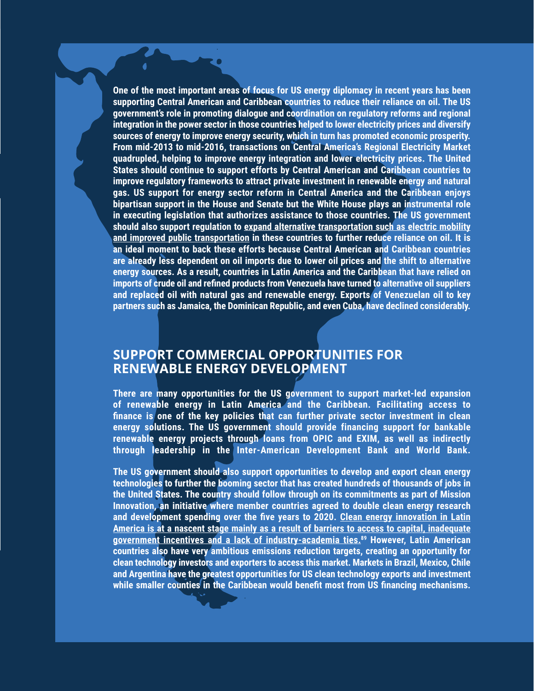**One of the most important areas of focus for US energy diplomacy in recent years has been supporting Central American and Caribbean countries to reduce their reliance on oil. The US government's role in promoting dialogue and coordination on regulatory reforms and regional integration in the power sector in those countries helped to lower electricity prices and diversify sources of energy to improve energy security, which in turn has promoted economic prosperity. From mid-2013 to mid-2016, transactions on Central America's Regional Electricity Market quadrupled, helping to improve energy integration and lower electricity prices. The United States should continue to support efforts by Central American and Caribbean countries to improve regulatory frameworks to attract private investment in renewable energy and natural gas. US support for energy sector reform in Central America and the Caribbean enjoys bipartisan support in the House and Senate but the White House plays an instrumental role in executing legislation that authorizes assistance to those countries. The US government should also support regulation to [expand alternative transportation such as electric mobility](http://www.thedialogue.org/wp-content/uploads/2015/10/Green-Transportation-The-Outlook-for-Electric-Vehicles-in-Latin-America.pdf)  [and improved public transportation](http://www.thedialogue.org/wp-content/uploads/2015/10/Green-Transportation-The-Outlook-for-Electric-Vehicles-in-Latin-America.pdf) in these countries to further reduce reliance on oil. It is an ideal moment to back these efforts because Central American and Caribbean countries are already less dependent on oil imports due to lower oil prices and the shift to alternative energy sources. As a result, countries in Latin America and the Caribbean that have relied on imports of crude oil and refined products from Venezuela have turned to alternative oil suppliers and replaced oil with natural gas and renewable energy. Exports of Venezuelan oil to key partners such as Jamaica, the Dominican Republic, and even Cuba, have declined considerably.**

### **SUPPORT COMMERCIAL OPPORTUNITIES FOR RENEWABLE ENERGY DEVELOPMENT**

**There are many opportunities for the US government to support market-led expansion of renewable energy in Latin America and the Caribbean. Facilitating access to finance is one of the key policies that can further private sector investment in clean energy solutions. The US government should provide financing support for bankable renewable energy projects through loans from OPIC and EXIM, as well as indirectly through leadership in the Inter-American Development Bank and World Bank.** 

**The US government should also support opportunities to develop and export clean energy technologies to further the booming sector that has created hundreds of thousands of jobs in the United States. The country should follow through on its commitments as part of Mission Innovation, an initiative where member countries agreed to double clean energy research and development spending over the five years to 2020. [Clean energy innovation in Latin](http://www.thedialogue.org/wp-content/uploads/2016/02/Clean-Energy-Innovation-in-Latin-America.pdf)  [America is at a nascent stage mainly as a result of barriers to access to capital, inadequate](http://www.thedialogue.org/wp-content/uploads/2016/02/Clean-Energy-Innovation-in-Latin-America.pdf)  [government incentives and a lack of industry-academia ties.](http://www.thedialogue.org/wp-content/uploads/2016/02/Clean-Energy-Innovation-in-Latin-America.pdf)89 However, Latin American countries also have very ambitious emissions reduction targets, creating an opportunity for clean technology investors and exporters to access this market. Markets in Brazil, Mexico, Chile and Argentina have the greatest opportunities for US clean technology exports and investment while smaller counties in the Caribbean would benefit most from US financing mechanisms.**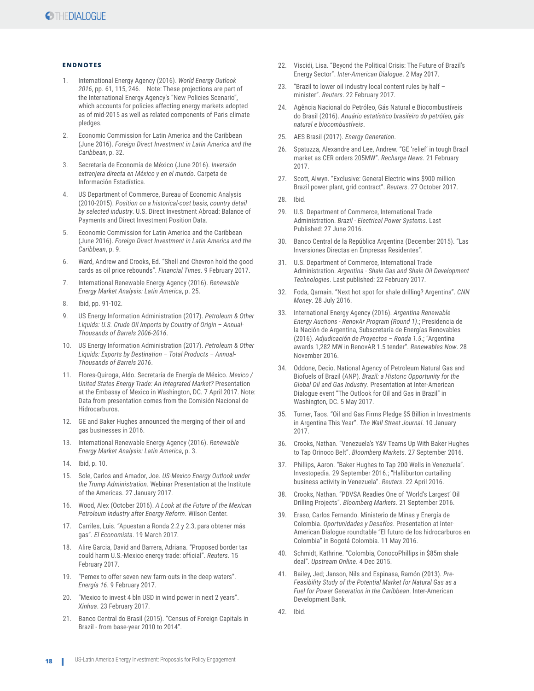#### **ENDNOTES**

- 1. International Energy Agency (2016). *World Energy Outlook 2016*, pp. 61, 115, 246. Note: These projections are part of the International Energy Agency's "New Policies Scenario", which accounts for policies affecting energy markets adopted as of mid-2015 as well as related components of Paris climate pledges.
- Economic Commission for Latin America and the Caribbean (June 2016). *Foreign Direct Investment in Latin America and the Caribbean*, p. 32.
- 3. Secretaría de Economía de México (June 2016). *Inversión extranjera directa en México y en el mundo*. Carpeta de Información Estadística.
- 4. US Department of Commerce, Bureau of Economic Analysis (2010-2015). *Position on a historical-cost basis, country detail by selected industry*. U.S. Direct Investment Abroad: Balance of Payments and Direct Investment Position Data.
- 5. Economic Commission for Latin America and the Caribbean (June 2016). *Foreign Direct Investment in Latin America and the Caribbean*, p. 9.
- 6. Ward, Andrew and Crooks, Ed. "Shell and Chevron hold the good cards as oil price rebounds". *Financial Times*. 9 February 2017.
- 7. International Renewable Energy Agency (2016). *Renewable Energy Market Analysis: Latin America*, p. 25.
- 8. Ibid, pp. 91-102.
- 9. US Energy Information Administration (2017). *Petroleum & Other Liquids: U.S. Crude Oil Imports by Country of Origin – Annual-Thousands of Barrels 2006-2016*.
- 10. US Energy Information Administration (2017). *Petroleum & Other Liquids: Exports by Destination – Total Products – Annual-Thousands of Barrels 2016*.
- 11. Flores-Quiroga, Aldo. Secretaría de Energía de México. *Mexico / United States Energy Trade: An Integrated Market?* Presentation at the Embassy of Mexico in Washington, DC. 7 April 2017. Note: Data from presentation comes from the Comisión Nacional de Hidrocarburos.
- 12. GE and Baker Hughes announced the merging of their oil and gas businesses in 2016.
- 13. International Renewable Energy Agency (2016). *Renewable Energy Market Analysis: Latin America*, p. 3.
- 14. Ibid, p. 10.
- 15. Sole, Carlos and Amador, Joe. *US-Mexico Energy Outlook under the Trump Administration*. Webinar Presentation at the Institute of the Americas. 27 January 2017.
- 16. Wood, Alex (October 2016). *A Look at the Future of the Mexican Petroleum Industry after Energy Reform*. Wilson Center.
- 17. Carriles, Luis. "Apuestan a Ronda 2.2 y 2.3, para obtener más gas". *El Economista*. 19 March 2017.
- 18. Alire Garcia, David and Barrera, Adriana. "Proposed border tax could harm U.S.-Mexico energy trade: official". *Reuters*. 15 February 2017.
- 19. "Pemex to offer seven new farm-outs in the deep waters". *Energía 16*. 9 February 2017.
- 20. "Mexico to invest 4 bln USD in wind power in next 2 years". *Xinhua*. 23 February 2017.
- 21. Banco Central do Brasil (2015). "Census of Foreign Capitals in Brazil - from base-year 2010 to 2014".
- 22. Viscidi, Lisa. "Beyond the Political Crisis: The Future of Brazil's Energy Sector". *Inter-American Dialogue*. 2 May 2017.
- 23. "Brazil to lower oil industry local content rules by half minister". *Reuters*. 22 February 2017.
- 24. Agência Nacional do Petróleo, Gás Natural e Biocombustíveis do Brasil (2016). *Anuário estatístico brasileiro do petróleo, gás natural e biocombustíveis*.
- 25. AES Brasil (2017). *Energy Generation*.
- 26. Spatuzza, Alexandre and Lee, Andrew. "GE 'relief' in tough Brazil market as CER orders 205MW". *Recharge News*. 21 February 2017.
- 27. Scott, Alwyn. "Exclusive: General Electric wins \$900 million Brazil power plant, grid contract". *Reuters*. 27 October 2017.
- 28. Ibid.
- 29. U.S. Department of Commerce, International Trade Administration. *Brazil - Electrical Power Systems*. Last Published: 27 June 2016.
- 30. Banco Central de la República Argentina (December 2015). "Las Inversiones Directas en Empresas Residentes".
- 31. U.S. Department of Commerce, International Trade Administration. *Argentina - Shale Gas and Shale Oil Development Technologies*. Last published: 22 February 2017.
- 32. Foda, Qarnain. "Next hot spot for shale drilling? Argentina". *CNN Money*. 28 July 2016.
- 33. International Energy Agency (2016). *Argentina Renewable Energy Auctions - RenovAr Program (Round 1)*.; Presidencia de la Nación de Argentina, Subscretaría de Energías Renovables (2016). *Adjudicación de Proyectos – Ronda 1.5*.; "Argentina awards 1,282 MW in RenovAR 1.5 tender". *Renewables Now*. 28 November 2016.
- 34. Oddone, Decio. National Agency of Petroleum Natural Gas and Biofuels of Brazil (ANP). *Brazil: a Historic Opportunity for the Global Oil and Gas Industry*. Presentation at Inter-American Dialogue event "The Outlook for Oil and Gas in Brazil" in Washington, DC. 5 May 2017.
- 35. Turner, Taos. "Oil and Gas Firms Pledge \$5 Billion in Investments in Argentina This Year". *The Wall Street Journal*. 10 January 2017.
- 36. Crooks, Nathan. "Venezuela's Y&V Teams Up With Baker Hughes to Tap Orinoco Belt". *Bloomberg Markets*. 27 September 2016.
- 37. Phillips, Aaron. "Baker Hughes to Tap 200 Wells in Venezuela". Investopedia. 29 September 2016.; "Halliburton curtailing business activity in Venezuela". *Reuters*. 22 April 2016.
- 38. Crooks, Nathan. "PDVSA Readies One of 'World's Largest' Oil Drilling Projects". *Bloomberg Markets*. 21 September 2016.
- 39. Eraso, Carlos Fernando. Ministerio de Minas y Energía de Colombia. *Oportunidades y Desafíos*. Presentation at Inter-American Dialogue roundtable "El futuro de los hidrocarburos en Colombia" in Bogotá Colombia. 11 May 2016.
- 40. Schmidt, Kathrine. "Colombia, ConocoPhillips in \$85m shale deal". *Upstream Online*. 4 Dec 2015.
- 41. Bailey, Jed; Janson, Nils and Espinasa, Ramón (2013). *Pre-Feasibility Study of the Potential Market for Natural Gas as a Fuel for Power Generation in the Caribbean*. Inter-American Development Bank.
- 42. Ibid.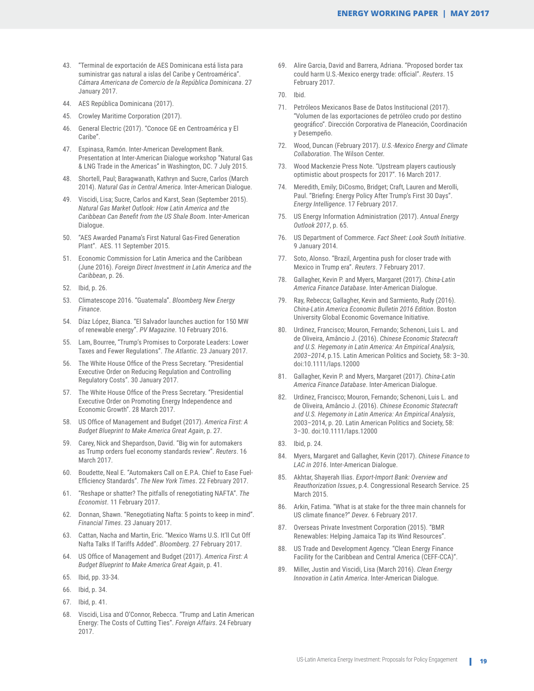- 43. "Terminal de exportación de AES Dominicana está lista para suministrar gas natural a islas del Caribe y Centroamérica". *Cámara Americana de Comercio de la República Dominicana*. 27 January 2017.
- 44. AES República Dominicana (2017).
- 45. Crowley Maritime Corporation (2017).
- 46. General Electric (2017). "Conoce GE en Centroamérica y El Caribe".
- 47. Espinasa, Ramón. Inter-American Development Bank. Presentation at Inter-American Dialogue workshop "Natural Gas & LNG Trade in the Americas" in Washington, DC. 7 July 2015.
- 48. Shortell, Paul; Baragwanath, Kathryn and Sucre, Carlos (March 2014). *Natural Gas in Central America*. Inter-American Dialogue.
- 49. Viscidi, Lisa; Sucre, Carlos and Karst, Sean (September 2015). *Natural Gas Market Outlook: How Latin America and the Caribbean Can Benefit from the US Shale Boom*. Inter-American Dialogue.
- 50. "AES Awarded Panama's First Natural Gas-Fired Generation Plant". AES. 11 September 2015.
- 51. Economic Commission for Latin America and the Caribbean (June 2016). *Foreign Direct Investment in Latin America and the Caribbean*, p. 26.
- 52. Ibid, p. 26.
- 53. Climatescope 2016. "Guatemala". *Bloomberg New Energy Finance*.
- 54. Díaz López, Bianca. "El Salvador launches auction for 150 MW of renewable energy". *PV Magazine*. 10 February 2016.
- 55. Lam, Bourree, "Trump's Promises to Corporate Leaders: Lower Taxes and Fewer Regulations". *The Atlantic*. 23 January 2017.
- 56. The White House Office of the Press Secretary. "Presidential Executive Order on Reducing Regulation and Controlling Regulatory Costs". 30 January 2017.
- 57. The White House Office of the Press Secretary. "Presidential Executive Order on Promoting Energy Independence and Economic Growth". 28 March 2017.
- 58. US Office of Management and Budget (2017). *America First: A Budget Blueprint to Make America Great Again*, p. 27.
- 59. Carey, Nick and Shepardson, David. "Big win for automakers as Trump orders fuel economy standards review". *Reuters*. 16 March 2017.
- 60. Boudette, Neal E. "Automakers Call on E.P.A. Chief to Ease Fuel-Efficiency Standards". *The New York Times*. 22 February 2017.
- 61. "Reshape or shatter? The pitfalls of renegotiating NAFTA". *The Economist*. 11 February 2017.
- 62. Donnan, Shawn. "Renegotiating Nafta: 5 points to keep in mind". *Financial Times*. 23 January 2017.
- 63. Cattan, Nacha and Martin, Eric. "Mexico Warns U.S. It'll Cut Off Nafta Talks If Tariffs Added". *Bloomberg*. 27 February 2017.
- 64. US Office of Management and Budget (2017). *America First: A Budget Blueprint to Make America Great Again*, p. 41.
- 65. Ibid, pp. 33-34.
- 66. Ibid, p. 34.
- 67. Ibid, p. 41.
- 68. Viscidi, Lisa and O'Connor, Rebecca. "Trump and Latin American Energy: The Costs of Cutting Ties". *Foreign Affairs*. 24 February 2017.

69. Alire Garcia, David and Barrera, Adriana. "Proposed border tax could harm U.S.-Mexico energy trade: official". *Reuters*. 15 February 2017.

- 71. Petróleos Mexicanos Base de Datos Institucional (2017). "Volumen de las exportaciones de petróleo crudo por destino geográfico". Dirección Corporativa de Planeación, Coordinación y Desempeño.
- 72. Wood, Duncan (February 2017). *U.S.-Mexico Energy and Climate Collaboration*. The Wilson Center.
- 73. Wood Mackenzie Press Note. "Upstream players cautiously optimistic about prospects for 2017". 16 March 2017.
- 74. Meredith, Emily; DiCosmo, Bridget; Craft, Lauren and Merolli, Paul. "Briefing: Energy Policy After Trump's First 30 Days". *Energy Intelligence*. 17 February 2017.
- 75. US Energy Information Administration (2017). *Annual Energy Outlook 2017*, p. 65.
- 76. US Department of Commerce. *Fact Sheet: Look South Initiative*. 9 January 2014.
- 77. Soto, Alonso. "Brazil, Argentina push for closer trade with Mexico in Trump era". *Reuters*. 7 February 2017.
- 78. Gallagher, Kevin P. and Myers, Margaret (2017). *China-Latin America Finance Database*. Inter-American Dialogue.
- 79. Ray, Rebecca; Gallagher, Kevin and Sarmiento, Rudy (2016). *China-Latin America Economic Bulletin 2016 Edition*. Boston University Global Economic Governance Initiative.
- 80. Urdinez, Francisco; Mouron, Fernando; Schenoni, Luis L. and de Oliveira, Amâncio J. (2016). *Chinese Economic Statecraft and U.S. Hegemony in Latin America: An Empirical Analysis, 2003–2014*, p.15. Latin American Politics and Society, 58: 3–30. doi:10.1111/laps.12000
- 81. Gallagher, Kevin P. and Myers, Margaret (2017). *China-Latin America Finance Database*. Inter-American Dialogue.
- 82. Urdinez, Francisco; Mouron, Fernando; Schenoni, Luis L. and de Oliveira, Amâncio J. (2016). *Chinese Economic Statecraft and U.S. Hegemony in Latin America: An Empirical Analysis*, 2003–2014, p. 20. Latin American Politics and Society, 58: 3–30. doi:10.1111/laps.12000
- 83. Ibid, p. 24.
- 84. Myers, Margaret and Gallagher, Kevin (2017). *Chinese Finance to LAC in 2016*. Inter-American Dialogue.
- 85. Akhtar, Shayerah Ilias. *Export-Import Bank: Overview and Reauthorization Issues*, p.4. Congressional Research Service. 25 March 2015.
- 86. Arkin, Fatima. "What is at stake for the three main channels for US climate finance?" *Devex*. 6 February 2017.
- 87. Overseas Private Investment Corporation (2015). "BMR Renewables: Helping Jamaica Tap its Wind Resources".
- 88. US Trade and Development Agency. "Clean Energy Finance Facility for the Caribbean and Central America (CEFF-CCA)".
- 89. Miller, Justin and Viscidi, Lisa (March 2016). *Clean Energy Innovation in Latin America*. Inter-American Dialogue.

<sup>70.</sup> Ibid.